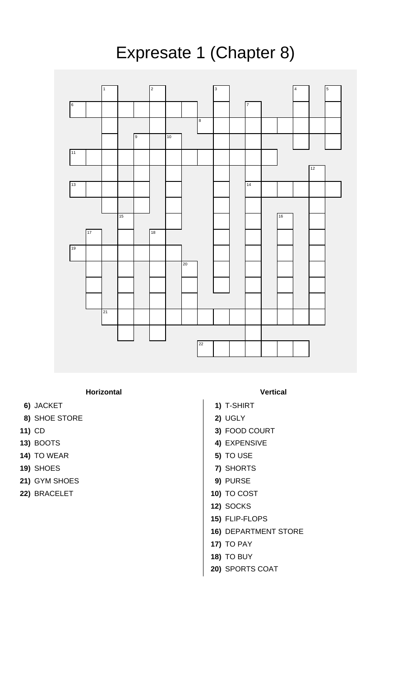

## **Horizontal Vertical**

- **6)** JACKET **1)** T-SHIRT
- **8)** SHOE STORE **2)** UGLY
- 
- 
- **14)** TO WEAR **5)** TO USE
- 
- **21)** GYM SHOES **9)** PURSE
- **22)** BRACELET **10)** TO COST

- 
- 
- **11)** CD **3)** FOOD COURT
- **13)** BOOTS **4)** EXPENSIVE
	-
- **19)** SHOES **7)** SHORTS
	-
	-
	- **12)** SOCKS
	- **15)** FLIP-FLOPS
	- **16)** DEPARTMENT STORE
	- **17)** TO PAY
	- **18)** TO BUY
	- **20)** SPORTS COAT